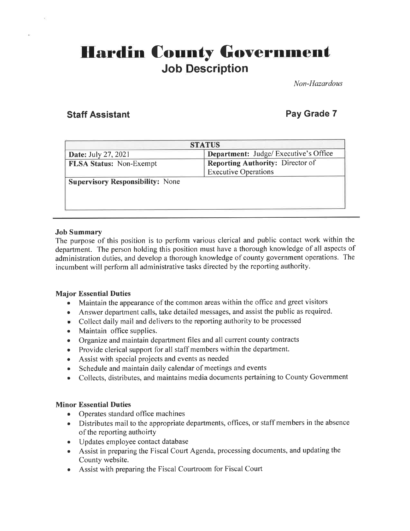# **Hardin County Government** Job Description

Non-Hazardous

## **Staff Assistant Community Community Community Pay Grade 7**

| <b>STATUS</b>                                |  |
|----------------------------------------------|--|
| <b>Department:</b> Judge/ Executive's Office |  |
| Reporting Authority: Director of             |  |
| <b>Executive Operations</b>                  |  |
|                                              |  |
|                                              |  |
|                                              |  |
|                                              |  |
|                                              |  |

#### Job Summary

The purpose of this position is to perform various clerical and public contact work within the department. The person holding this position must have a thorough knowledge of all aspects of administration duties, and develop a thorough knowledge of county government operations. The incumbent will perform all administrative tasks directed by the reporting authority.

#### Major Essential Duties

- . Maintain the appearance of the common areas within the office and greet visitors
- Answer department calls, take detailed messages, and assist the public as required.
- Collect daily mail and delivers to the reporting authority to be processed
- Maintain office supplies.
- . Organize and maintain department files and all current county contracts
- . Provide clerical support for all staff members within the department.
- o Assist with special projects and events as needed
- . Schedule and maintain daily calendar of meetings and events
- Collects, distributes, and maintains media documents pertaining to County Government

#### Minor Essential Duties

- Operates standard office machines
- Distributes mail to the appropriate departments, offices, or staff members in the absence of the reporting authoirty
- . Updates employee contact database
- o Assist in preparing the Fiscal Court Agenda, processing documents, and updating the County website.
- Assist with preparing the Fiscal Courtroom for Fiscal Court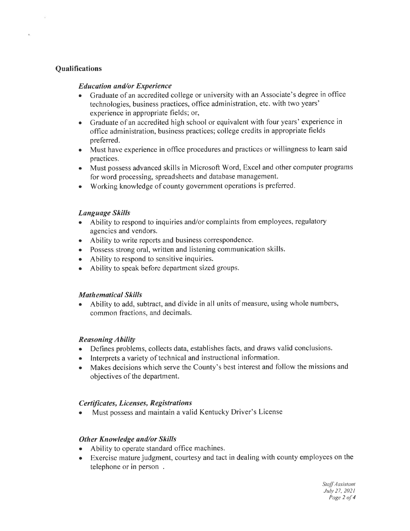### **Qualifications**

#### Educotion and/or Experience

- . Graduate of an accredited college or university with an Associate's degree in office technologies, business practices, office administration, etc. with two years' experience in appropriate fields; or,
- Graduate of an accredited high school or equivalent with four years' experience in office administration, business practices; college credits in appropriate fields preferred.
- Must have experience in office procedures and practices or willingness to learn said practices.
- Must possess advanced skills in Microsoft Word, Excel and other computer programs for word processing, spreadsheets and database management.
- . Working knowledge of county government operations is preferred.

#### Language Skills

- Ability to respond to inquiries and/or complaints from employees, regulatory agencies and vendors.
- . Ability to write reports and business correspondence.
- . Possess strong oral, written and listening communication skills.
- Ability to respond to sensitive inquiries.
- o Ability to speak before department sized groups.

#### **Mathematical Skills**

r Ability to add, subtract, and divide in all units of measure, using whole numbers, common fractions, and decimals.

#### **Reasoning Ability**

- . Defines problems, collects data, establishes facts, and draws valid conclusions.
- o lnterprets a variety of technical and instructional information.
- Makes decisions which serve the County's best interest and follow the missions and objectives of the department.

#### Certfficates, Licenses, Registrations

Must possess and maintain a valid Kentucky Driver's License

#### Other Knowledge and/or Skills

- Ability to operate standard office machines.
- o Exercise mature judgment, courtesy and tact in dealing with county employees on the telephone or in person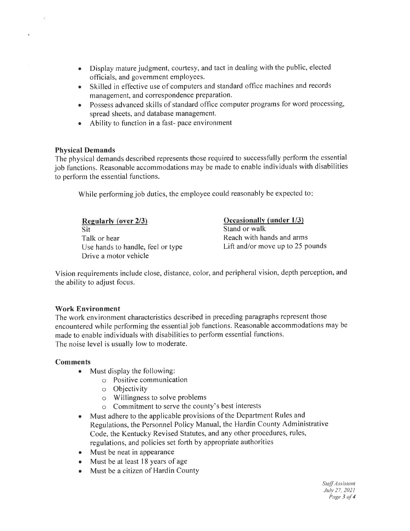- Display mature judgment, courtesy, and tact in dealing with the public, elected officials, and government employees. a
- Skilled in effective use of computers and standard office machines and records management, and correspondence preparation.
- Possess advanced skills of standard office computer programs for word processing spread sheets, and database management.
- Ability to function in a fast- pace environment

#### Physical Demands

The physical demands described represents those required to successfully perform the essential job functions. Reasonable accommodations may be made to enable individuals with disabilities to perform the essential functions.

While performing job duties, the employee could reasonably be expected to.

| Regularly (over 2/3)              | Occasionally (under 1/3)         |
|-----------------------------------|----------------------------------|
| Sit                               | Stand or walk                    |
| Talk or hear                      | Reach with hands and arms        |
| Use hands to handle, feel or type | Lift and/or move up to 25 pounds |
| Drive a motor vehicle             |                                  |

Vision requirements include close, distance, color, and peripheral vision, depth perception, and the ability to adjust focus.

#### Work Environment

The work environment characteristics described in preceding paragraphs represent those encountered while performing the essentialjob functions. Reasonable accommodations may be made to enable individuals with disabilities to perform essential functions. The noise level is usually low to moderate.

#### Comments

- $\bullet$  Must display the following:
	- o Positive communication
	- o Objectivity
	- o Willingness to solve problems
	- o Commitment to serve the county's best interests
- o Must adhere to the applicable provisions of the Department Rules and Regulations, the Personnel Policy Manual, the Hardin County Administrative Code, the Kentucky Revised Statutes, and any other procedures, rules, regulations, and policies set forth by appropriate authorities
- Must be neat in appearance
- o Must be at least 18 years of age
- Must be a citizen of Hardin County